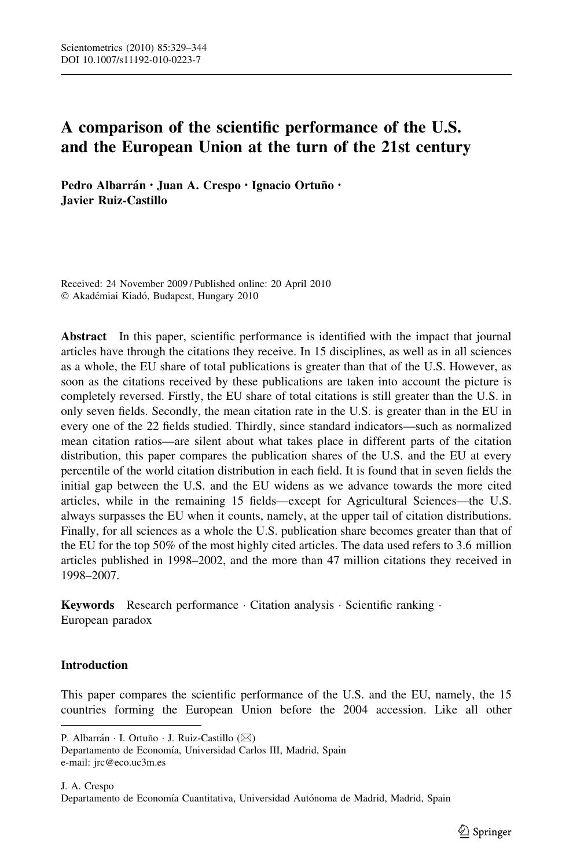# A comparison of the scientific performance of the U.S. and the European Union at the turn of the 21st century

Pedro Albarrán · Juan A. Crespo · Ignacio Ortuño · Javier Ruiz-Castillo

Received: 24 November 2009 / Published online: 20 April 2010 © Akadémiai Kiadó, Budapest, Hungary 2010

Abstract In this paper, scientific performance is identified with the impact that journal articles have through the citations they receive. In 15 disciplines, as well as in all sciences as a whole, the EU share of total publications is greater than that of the U.S. However, as soon as the citations received by these publications are taken into account the picture is completely reversed. Firstly, the EU share of total citations is still greater than the U.S. in only seven fields. Secondly, the mean citation rate in the U.S. is greater than in the EU in every one of the 22 fields studied. Thirdly, since standard indicators—such as normalized mean citation ratios—are silent about what takes place in different parts of the citation distribution, this paper compares the publication shares of the U.S. and the EU at every percentile of the world citation distribution in each field. It is found that in seven fields the initial gap between the U.S. and the EU widens as we advance towards the more cited articles, while in the remaining 15 fields—except for Agricultural Sciences—the U.S. always surpasses the EU when it counts, namely, at the upper tail of citation distributions. Finally, for all sciences as a whole the U.S. publication share becomes greater than that of the EU for the top 50% of the most highly cited articles. The data used refers to 3.6 million articles published in 1998–2002, and the more than 47 million citations they received in 1998–2007.

Keywords Research performance · Citation analysis · Scientific ranking · European paradox

# Introduction

This paper compares the scientific performance of the U.S. and the EU, namely, the 15 countries forming the European Union before the 2004 accession. Like all other

Departamento de Economía, Universidad Carlos III, Madrid, Spain e-mail: jrc@eco.uc3m.es

P. Albarrán · I. Ortuño · J. Ruiz-Castillo (⊠)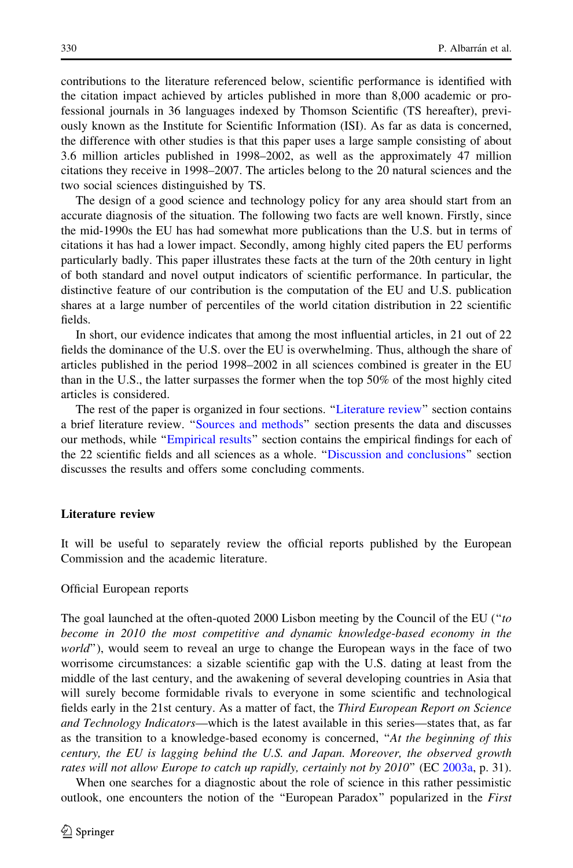<span id="page-1-0"></span>contributions to the literature referenced below, scientific performance is identified with the citation impact achieved by articles published in more than 8,000 academic or professional journals in 36 languages indexed by Thomson Scientific (TS hereafter), previously known as the Institute for Scientific Information (ISI). As far as data is concerned, the difference with other studies is that this paper uses a large sample consisting of about 3.6 million articles published in 1998–2002, as well as the approximately 47 million citations they receive in 1998–2007. The articles belong to the 20 natural sciences and the two social sciences distinguished by TS.

The design of a good science and technology policy for any area should start from an accurate diagnosis of the situation. The following two facts are well known. Firstly, since the mid-1990s the EU has had somewhat more publications than the U.S. but in terms of citations it has had a lower impact. Secondly, among highly cited papers the EU performs particularly badly. This paper illustrates these facts at the turn of the 20th century in light of both standard and novel output indicators of scientific performance. In particular, the distinctive feature of our contribution is the computation of the EU and U.S. publication shares at a large number of percentiles of the world citation distribution in 22 scientific fields.

In short, our evidence indicates that among the most influential articles, in 21 out of 22 fields the dominance of the U.S. over the EU is overwhelming. Thus, although the share of articles published in the period 1998–2002 in all sciences combined is greater in the EU than in the U.S., the latter surpasses the former when the top 50% of the most highly cited articles is considered.

The rest of the paper is organized in four sections. "Literature review" section contains a brief literature review. '['Sources and methods'](#page-4-0)' section presents the data and discusses our methods, while "Empirical results" section contains the empirical findings for each of the 22 scientific fields and all sciences as a whole. '['Discussion and conclusions](#page-12-0)'' section discusses the results and offers some concluding comments.

#### Literature review

It will be useful to separately review the official reports published by the European Commission and the academic literature.

#### Official European reports

The goal launched at the often-quoted 2000 Lisbon meeting by the Council of the EU ("to become in 2010 the most competitive and dynamic knowledge-based economy in the world"), would seem to reveal an urge to change the European ways in the face of two worrisome circumstances: a sizable scientific gap with the U.S. dating at least from the middle of the last century, and the awakening of several developing countries in Asia that will surely become formidable rivals to everyone in some scientific and technological fields early in the 21st century. As a matter of fact, the Third European Report on Science and Technology Indicators—which is the latest available in this series—states that, as far as the transition to a knowledge-based economy is concerned, "At the beginning of this century, the EU is lagging behind the U.S. and Japan. Moreover, the observed growth rates will not allow Europe to catch up rapidly, certainly not by 2010" (EC [2003a,](#page-15-0) p. 31).

When one searches for a diagnostic about the role of science in this rather pessimistic outlook, one encounters the notion of the ''European Paradox'' popularized in the First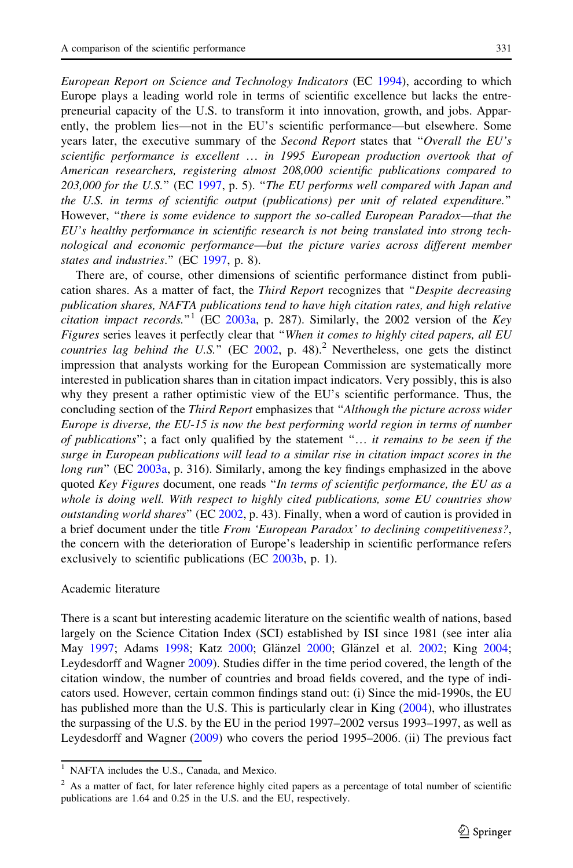European Report on Science and Technology Indicators (EC [1994](#page-15-0)), according to which Europe plays a leading world role in terms of scientific excellence but lacks the entrepreneurial capacity of the U.S. to transform it into innovation, growth, and jobs. Apparently, the problem lies—not in the EU's scientific performance—but elsewhere. Some years later, the executive summary of the Second Report states that "Overall the EU's scientific performance is excellent … in 1995 European production overtook that of American researchers, registering almost 208,000 scientific publications compared to 203,000 for the U.S.'' (EC [1997](#page-15-0), p. 5). ''The EU performs well compared with Japan and the U.S. in terms of scientific output (publications) per unit of related expenditure.'' However, ''there is some evidence to support the so-called European Paradox—that the EU's healthy performance in scientific research is not being translated into strong technological and economic performance—but the picture varies across different member states and industries." (EC [1997](#page-15-0), p. 8).

There are, of course, other dimensions of scientific performance distinct from publication shares. As a matter of fact, the Third Report recognizes that ''Despite decreasing publication shares, NAFTA publications tend to have high citation rates, and high relative *citation impact records.*<sup>"1</sup> (EC [2003a](#page-15-0), p. 287). Similarly, the 2002 version of the Key Figures series leaves it perfectly clear that "When it comes to highly cited papers, all EU countries lag behind the U.S." (EC  $2002$ , p. 48).<sup>2</sup> Nevertheless, one gets the distinct impression that analysts working for the European Commission are systematically more interested in publication shares than in citation impact indicators. Very possibly, this is also why they present a rather optimistic view of the EU's scientific performance. Thus, the concluding section of the Third Report emphasizes that ''Although the picture across wider Europe is diverse, the EU-15 is now the best performing world region in terms of number of publications''; a fact only qualified by the statement ''… it remains to be seen if the surge in European publications will lead to a similar rise in citation impact scores in the long run" (EC [2003a](#page-15-0), p. 316). Similarly, among the key findings emphasized in the above quoted Key Figures document, one reads "In terms of scientific performance, the EU as a whole is doing well. With respect to highly cited publications, some EU countries show *outstanding world shares*" ( $EC 2002$ , p. 43). Finally, when a word of caution is provided in a brief document under the title From 'European Paradox' to declining competitiveness?, the concern with the deterioration of Europe's leadership in scientific performance refers exclusively to scientific publications (EC [2003b,](#page-15-0) p. 1).

# Academic literature

There is a scant but interesting academic literature on the scientific wealth of nations, based largely on the Science Citation Index (SCI) established by ISI since 1981 (see inter alia May [1997;](#page-15-0) Adams [1998](#page-14-0); Katz [2000](#page-15-0); Glänzel 2000; Glänzel et al. [2002](#page-15-0); King [2004;](#page-15-0) Leydesdorff and Wagner [2009](#page-15-0)). Studies differ in the time period covered, the length of the citation window, the number of countries and broad fields covered, and the type of indicators used. However, certain common findings stand out: (i) Since the mid-1990s, the EU has published more than the U.S. This is particularly clear in King [\(2004](#page-15-0)), who illustrates the surpassing of the U.S. by the EU in the period 1997–2002 versus 1993–1997, as well as Leydesdorff and Wagner ([2009\)](#page-15-0) who covers the period 1995–2006. (ii) The previous fact

NAFTA includes the U.S., Canada, and Mexico.

 $2$  As a matter of fact, for later reference highly cited papers as a percentage of total number of scientific publications are 1.64 and 0.25 in the U.S. and the EU, respectively.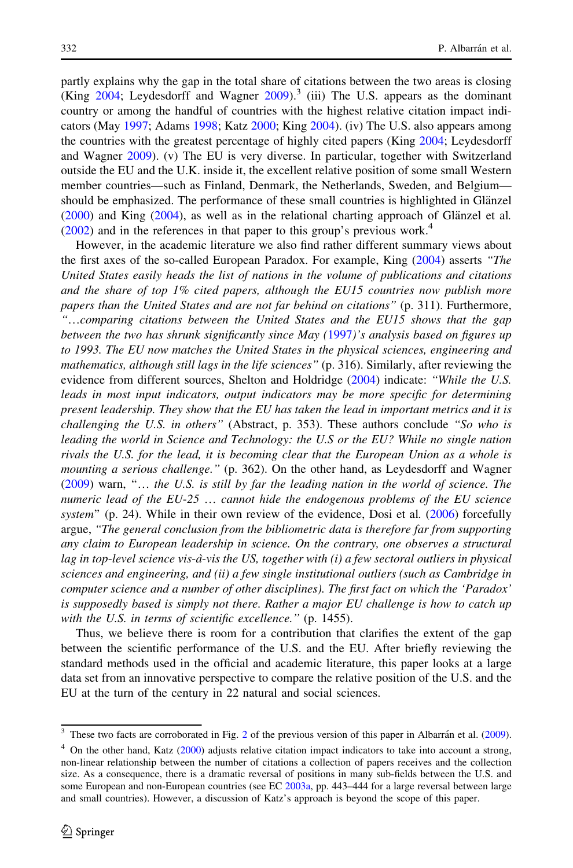partly explains why the gap in the total share of citations between the two areas is closing (King  $2004$ ; Leydesdorff and Wagner  $2009$ ).<sup>3</sup> (iii) The U.S. appears as the dominant country or among the handful of countries with the highest relative citation impact indicators (May [1997;](#page-15-0) Adams [1998](#page-14-0); Katz [2000;](#page-15-0) King [2004\)](#page-15-0). (iv) The U.S. also appears among the countries with the greatest percentage of highly cited papers (King [2004;](#page-15-0) Leydesdorff and Wagner [2009\)](#page-15-0). (v) The EU is very diverse. In particular, together with Switzerland outside the EU and the U.K. inside it, the excellent relative position of some small Western member countries—such as Finland, Denmark, the Netherlands, Sweden, and Belgium should be emphasized. The performance of these small countries is highlighted in Glänzel  $(2000)$  $(2000)$  and King  $(2004)$  $(2004)$  $(2004)$ , as well as in the relational charting approach of Glänzel et al.  $(2002)$  $(2002)$  and in the references in that paper to this group's previous work.<sup>4</sup>

However, in the academic literature we also find rather different summary views about the first axes of the so-called European Paradox. For example, King [\(2004](#page-15-0)) asserts "The United States easily heads the list of nations in the volume of publications and citations and the share of top 1% cited papers, although the EU15 countries now publish more papers than the United States and are not far behind on citations'' (p. 311). Furthermore, ''…comparing citations between the United States and the EU15 shows that the gap between the two has shrunk significantly since May ([1997](#page-15-0))'s analysis based on figures up to 1993. The EU now matches the United States in the physical sciences, engineering and mathematics, although still lags in the life sciences'' (p. 316). Similarly, after reviewing the evidence from different sources, Shelton and Holdridge [\(2004](#page-15-0)) indicate: "While the U.S. leads in most input indicators, output indicators may be more specific for determining present leadership. They show that the EU has taken the lead in important metrics and it is challenging the U.S. in others" (Abstract, p. 353). These authors conclude "So who is leading the world in Science and Technology: the U.S or the EU? While no single nation rivals the U.S. for the lead, it is becoming clear that the European Union as a whole is mounting a serious challenge." (p. 362). On the other hand, as Leydesdorff and Wagner ([2009\)](#page-15-0) warn, ''… the U.S. is still by far the leading nation in the world of science. The numeric lead of the EU-25 … cannot hide the endogenous problems of the EU science system" (p. 24). While in their own review of the evidence, Dosi et al. ([2006\)](#page-14-0) forcefully argue, ''The general conclusion from the bibliometric data is therefore far from supporting any claim to European leadership in science. On the contrary, one observes a structural lag in top-level science vis-à-vis the US, together with (i) a few sectoral outliers in physical sciences and engineering, and (ii) a few single institutional outliers (such as Cambridge in computer science and a number of other disciplines). The first fact on which the 'Paradox' is supposedly based is simply not there. Rather a major EU challenge is how to catch up with the U.S. in terms of scientific excellence." (p. 1455).

Thus, we believe there is room for a contribution that clarifies the extent of the gap between the scientific performance of the U.S. and the EU. After briefly reviewing the standard methods used in the official and academic literature, this paper looks at a large data set from an innovative perspective to compare the relative position of the U.S. and the EU at the turn of the century in 22 natural and social sciences.

These two facts are corroborated in Fig. [2](#page-11-0) of the previous version of this paper in Albarra´n et al. [\(2009\)](#page-14-0).

<sup>&</sup>lt;sup>4</sup> On the other hand, Katz [\(2000](#page-15-0)) adjusts relative citation impact indicators to take into account a strong, non-linear relationship between the number of citations a collection of papers receives and the collection size. As a consequence, there is a dramatic reversal of positions in many sub-fields between the U.S. and some European and non-European countries (see EC [2003a](#page-15-0), pp. 443–444 for a large reversal between large and small countries). However, a discussion of Katz's approach is beyond the scope of this paper.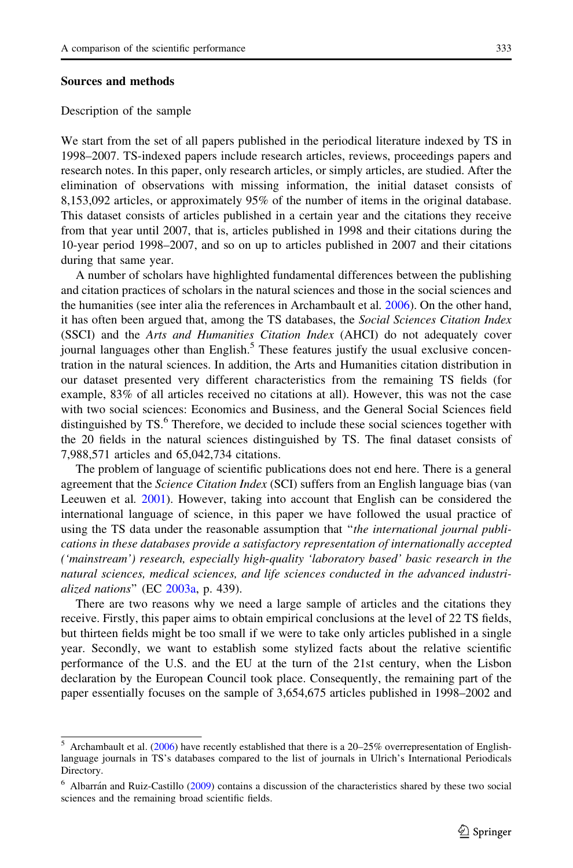## <span id="page-4-0"></span>Sources and methods

#### Description of the sample

We start from the set of all papers published in the periodical literature indexed by TS in 1998–2007. TS-indexed papers include research articles, reviews, proceedings papers and research notes. In this paper, only research articles, or simply articles, are studied. After the elimination of observations with missing information, the initial dataset consists of 8,153,092 articles, or approximately 95% of the number of items in the original database. This dataset consists of articles published in a certain year and the citations they receive from that year until 2007, that is, articles published in 1998 and their citations during the 10-year period 1998–2007, and so on up to articles published in 2007 and their citations during that same year.

A number of scholars have highlighted fundamental differences between the publishing and citation practices of scholars in the natural sciences and those in the social sciences and the humanities (see inter alia the references in Archambault et al. [2006](#page-14-0)). On the other hand, it has often been argued that, among the TS databases, the *Social Sciences Citation Index* (SSCI) and the Arts and Humanities Citation Index (AHCI) do not adequately cover journal languages other than English.<sup>5</sup> These features justify the usual exclusive concentration in the natural sciences. In addition, the Arts and Humanities citation distribution in our dataset presented very different characteristics from the remaining TS fields (for example, 83% of all articles received no citations at all). However, this was not the case with two social sciences: Economics and Business, and the General Social Sciences field distinguished by  $TS<sup>6</sup>$ . Therefore, we decided to include these social sciences together with the 20 fields in the natural sciences distinguished by TS. The final dataset consists of 7,988,571 articles and 65,042,734 citations.

The problem of language of scientific publications does not end here. There is a general agreement that the *Science Citation Index* (SCI) suffers from an English language bias (van Leeuwen et al. [2001\)](#page-15-0). However, taking into account that English can be considered the international language of science, in this paper we have followed the usual practice of using the TS data under the reasonable assumption that "the international journal publications in these databases provide a satisfactory representation of internationally accepted ('mainstream') research, especially high-quality 'laboratory based' basic research in the natural sciences, medical sciences, and life sciences conducted in the advanced industri-alized nations" (EC [2003a](#page-15-0), p. 439).

There are two reasons why we need a large sample of articles and the citations they receive. Firstly, this paper aims to obtain empirical conclusions at the level of 22 TS fields, but thirteen fields might be too small if we were to take only articles published in a single year. Secondly, we want to establish some stylized facts about the relative scientific performance of the U.S. and the EU at the turn of the 21st century, when the Lisbon declaration by the European Council took place. Consequently, the remaining part of the paper essentially focuses on the sample of 3,654,675 articles published in 1998–2002 and

<sup>5</sup> Archambault et al. [\(2006\)](#page-14-0) have recently established that there is a 20–25% overrepresentation of Englishlanguage journals in TS's databases compared to the list of journals in Ulrich's International Periodicals Directory.

Albarrán and Ruiz-Castillo [\(2009\)](#page-14-0) contains a discussion of the characteristics shared by these two social sciences and the remaining broad scientific fields.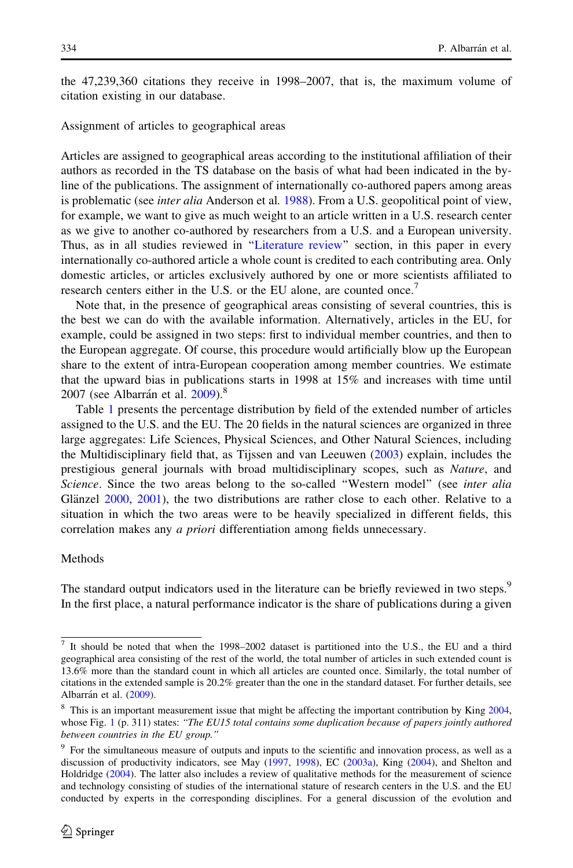the 47,239,360 citations they receive in 1998–2007, that is, the maximum volume of citation existing in our database.

Assignment of articles to geographical areas

Articles are assigned to geographical areas according to the institutional affiliation of their authors as recorded in the TS database on the basis of what had been indicated in the byline of the publications. The assignment of internationally co-authored papers among areas is problematic (see *inter alia* Anderson et al. [1988\)](#page-14-0). From a U.S. geopolitical point of view, for example, we want to give as much weight to an article written in a U.S. research center as we give to another co-authored by researchers from a U.S. and a European university. Thus, as in all studies reviewed in "Literature review" section, in this paper in every internationally co-authored article a whole count is credited to each contributing area. Only domestic articles, or articles exclusively authored by one or more scientists affiliated to research centers either in the U.S. or the EU alone, are counted once.<sup>7</sup>

Note that, in the presence of geographical areas consisting of several countries, this is the best we can do with the available information. Alternatively, articles in the EU, for example, could be assigned in two steps: first to individual member countries, and then to the European aggregate. Of course, this procedure would artificially blow up the European share to the extent of intra-European cooperation among member countries. We estimate that the upward bias in publications starts in 1998 at 15% and increases with time until 2007 (see Albarrán et al.  $2009$ ).<sup>8</sup>

Table [1](#page-6-0) presents the percentage distribution by field of the extended number of articles assigned to the U.S. and the EU. The 20 fields in the natural sciences are organized in three large aggregates: Life Sciences, Physical Sciences, and Other Natural Sciences, including the Multidisciplinary field that, as Tijssen and van Leeuwen [\(2003](#page-15-0)) explain, includes the prestigious general journals with broad multidisciplinary scopes, such as Nature, and Science. Since the two areas belong to the so-called "Western model" (see *inter alia* Glänzel  $2000$ ,  $2001$ ), the two distributions are rather close to each other. Relative to a situation in which the two areas were to be heavily specialized in different fields, this correlation makes any a priori differentiation among fields unnecessary.

## Methods

The standard output indicators used in the literature can be briefly reviewed in two steps.<sup>9</sup> In the first place, a natural performance indicator is the share of publications during a given

<sup>7</sup> It should be noted that when the 1998–2002 dataset is partitioned into the U.S., the EU and a third geographical area consisting of the rest of the world, the total number of articles in such extended count is 13.6% more than the standard count in which all articles are counted once. Similarly, the total number of citations in the extended sample is 20.2% greater than the one in the standard dataset. For further details, see Albarrán et al. [\(2009](#page-14-0)).

<sup>&</sup>lt;sup>8</sup> This is an important measurement issue that might be affecting the important contribution by King [2004,](#page-15-0) whose Fig. [1](#page-10-0) (p. 311) states: "The EU15 total contains some duplication because of papers jointly authored between countries in the EU group.''

<sup>&</sup>lt;sup>9</sup> For the simultaneous measure of outputs and inputs to the scientific and innovation process, as well as a discussion of productivity indicators, see May [\(1997](#page-15-0), [1998](#page-15-0)), EC [\(2003a\)](#page-15-0), King [\(2004](#page-15-0)), and Shelton and Holdridge [\(2004](#page-15-0)). The latter also includes a review of qualitative methods for the measurement of science and technology consisting of studies of the international stature of research centers in the U.S. and the EU conducted by experts in the corresponding disciplines. For a general discussion of the evolution and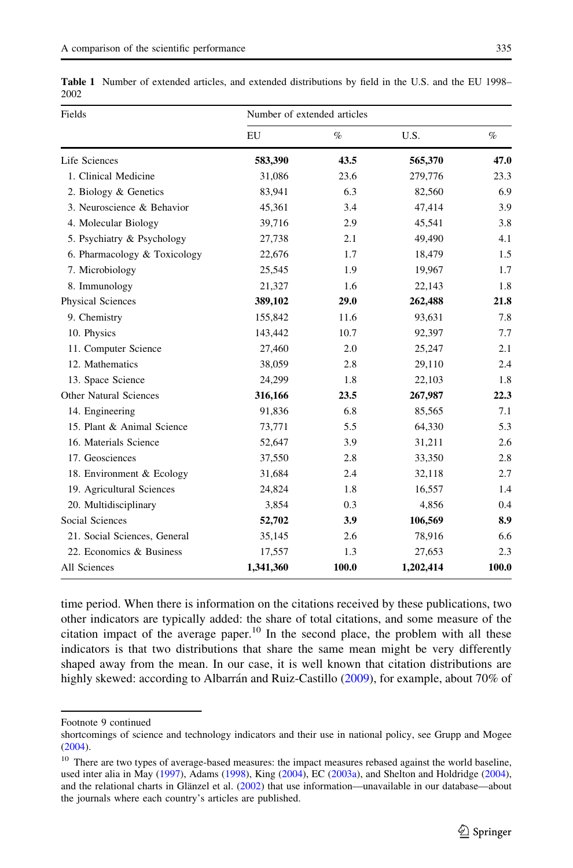| Fields                        | Number of extended articles |       |           |       |  |  |  |
|-------------------------------|-----------------------------|-------|-----------|-------|--|--|--|
|                               | ${\rm EU}$                  | $\%$  | U.S.      | $\%$  |  |  |  |
| Life Sciences                 | 583,390                     | 43.5  | 565,370   | 47.0  |  |  |  |
| 1. Clinical Medicine          | 31,086                      | 23.6  | 279,776   | 23.3  |  |  |  |
| 2. Biology & Genetics         | 83,941                      | 6.3   | 82,560    | 6.9   |  |  |  |
| 3. Neuroscience & Behavior    | 45,361                      | 3.4   | 47,414    | 3.9   |  |  |  |
| 4. Molecular Biology          | 39,716                      | 2.9   | 45,541    | 3.8   |  |  |  |
| 5. Psychiatry & Psychology    | 27,738                      | 2.1   | 49,490    | 4.1   |  |  |  |
| 6. Pharmacology & Toxicology  | 22,676                      | 1.7   | 18,479    | 1.5   |  |  |  |
| 7. Microbiology               | 25,545                      | 1.9   | 19,967    | 1.7   |  |  |  |
| 8. Immunology                 | 21,327                      | 1.6   | 22,143    | 1.8   |  |  |  |
| Physical Sciences             | 389,102                     | 29.0  | 262,488   | 21.8  |  |  |  |
| 9. Chemistry                  | 155,842                     | 11.6  | 93,631    | 7.8   |  |  |  |
| 10. Physics                   | 143,442                     | 10.7  | 92,397    | 7.7   |  |  |  |
| 11. Computer Science          | 27,460                      | 2.0   | 25,247    | 2.1   |  |  |  |
| 12. Mathematics               | 38,059                      | 2.8   | 29,110    | 2.4   |  |  |  |
| 13. Space Science             | 24,299                      | 1.8   | 22,103    | 1.8   |  |  |  |
| <b>Other Natural Sciences</b> | 316,166                     | 23.5  | 267,987   | 22.3  |  |  |  |
| 14. Engineering               | 91,836                      | 6.8   | 85,565    | 7.1   |  |  |  |
| 15. Plant & Animal Science    | 73,771                      | 5.5   | 64,330    | 5.3   |  |  |  |
| 16. Materials Science         | 52,647                      | 3.9   | 31,211    | 2.6   |  |  |  |
| 17. Geosciences               | 37,550                      | 2.8   | 33,350    | 2.8   |  |  |  |
| 18. Environment & Ecology     | 31,684                      | 2.4   | 32,118    | 2.7   |  |  |  |
| 19. Agricultural Sciences     | 24,824                      | 1.8   | 16,557    | 1.4   |  |  |  |
| 20. Multidisciplinary         | 3,854                       | 0.3   | 4,856     | 0.4   |  |  |  |
| Social Sciences               | 52,702                      | 3.9   | 106,569   | 8.9   |  |  |  |
| 21. Social Sciences, General  | 35,145                      | 2.6   | 78,916    | 6.6   |  |  |  |
| 22. Economics & Business      | 17,557                      | 1.3   | 27,653    | 2.3   |  |  |  |
| All Sciences                  | 1,341,360                   | 100.0 | 1,202,414 | 100.0 |  |  |  |

<span id="page-6-0"></span>Table 1 Number of extended articles, and extended distributions by field in the U.S. and the EU 1998– 2002

time period. When there is information on the citations received by these publications, two other indicators are typically added: the share of total citations, and some measure of the citation impact of the average paper.<sup>10</sup> In the second place, the problem with all these indicators is that two distributions that share the same mean might be very differently shaped away from the mean. In our case, it is well known that citation distributions are highly skewed: according to Albarrán and Ruiz-Castillo [\(2009](#page-14-0)), for example, about 70% of

Footnote 9 continued

shortcomings of science and technology indicators and their use in national policy, see Grupp and Mogee [\(2004](#page-15-0)).

<sup>&</sup>lt;sup>10</sup> There are two types of average-based measures: the impact measures rebased against the world baseline, used inter alia in May [\(1997](#page-15-0)), Adams ([1998\)](#page-14-0), King [\(2004](#page-15-0)), EC [\(2003a\)](#page-15-0), and Shelton and Holdridge [\(2004\)](#page-15-0), and the relational charts in Glänzel et al. [\(2002](#page-15-0)) that use information—unavailable in our database—about the journals where each country's articles are published.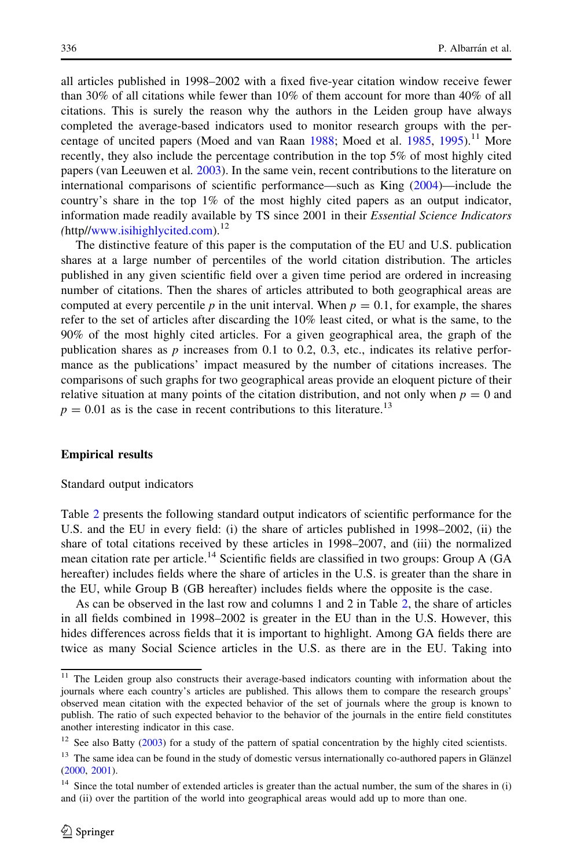<span id="page-7-0"></span>all articles published in 1998–2002 with a fixed five-year citation window receive fewer than 30% of all citations while fewer than 10% of them account for more than 40% of all citations. This is surely the reason why the authors in the Leiden group have always completed the average-based indicators used to monitor research groups with the per-centage of uncited papers (Moed and van Raan [1988;](#page-15-0) Moed et al. [1985,](#page-15-0) [1995\)](#page-15-0).<sup>11</sup> More recently, they also include the percentage contribution in the top 5% of most highly cited papers (van Leeuwen et al. [2003\)](#page-15-0). In the same vein, recent contributions to the literature on international comparisons of scientific performance—such as King [\(2004](#page-15-0))—include the country's share in the top 1% of the most highly cited papers as an output indicator, information made readily available by TS since 2001 in their *Essential Science Indicators*  $(\text{http://www.isihighlycited.com})$  $(\text{http://www.isihighlycited.com})$  $(\text{http://www.isihighlycited.com})$ <sup>12</sup>

The distinctive feature of this paper is the computation of the EU and U.S. publication shares at a large number of percentiles of the world citation distribution. The articles published in any given scientific field over a given time period are ordered in increasing number of citations. Then the shares of articles attributed to both geographical areas are computed at every percentile p in the unit interval. When  $p = 0.1$ , for example, the shares refer to the set of articles after discarding the 10% least cited, or what is the same, to the 90% of the most highly cited articles. For a given geographical area, the graph of the publication shares as  $p$  increases from 0.1 to 0.2, 0.3, etc., indicates its relative performance as the publications' impact measured by the number of citations increases. The comparisons of such graphs for two geographical areas provide an eloquent picture of their relative situation at many points of the citation distribution, and not only when  $p = 0$  and  $p = 0.01$  as is the case in recent contributions to this literature.<sup>13</sup>

## Empirical results

#### Standard output indicators

Table [2](#page-8-0) presents the following standard output indicators of scientific performance for the U.S. and the EU in every field: (i) the share of articles published in 1998–2002, (ii) the share of total citations received by these articles in 1998–2007, and (iii) the normalized mean citation rate per article.<sup>14</sup> Scientific fields are classified in two groups: Group A (GA hereafter) includes fields where the share of articles in the U.S. is greater than the share in the EU, while Group B (GB hereafter) includes fields where the opposite is the case.

As can be observed in the last row and columns 1 and 2 in Table [2](#page-8-0), the share of articles in all fields combined in 1998–2002 is greater in the EU than in the U.S. However, this hides differences across fields that it is important to highlight. Among GA fields there are twice as many Social Science articles in the U.S. as there are in the EU. Taking into

<sup>&</sup>lt;sup>11</sup> The Leiden group also constructs their average-based indicators counting with information about the journals where each country's articles are published. This allows them to compare the research groups' observed mean citation with the expected behavior of the set of journals where the group is known to publish. The ratio of such expected behavior to the behavior of the journals in the entire field constitutes another interesting indicator in this case.

<sup>&</sup>lt;sup>12</sup> See also Batty ([2003\)](#page-14-0) for a study of the pattern of spatial concentration by the highly cited scientists.

 $13$  The same idea can be found in the study of domestic versus internationally co-authored papers in Glänzel [\(2000](#page-15-0), [2001\)](#page-15-0).

<sup>&</sup>lt;sup>14</sup> Since the total number of extended articles is greater than the actual number, the sum of the shares in (i) and (ii) over the partition of the world into geographical areas would add up to more than one.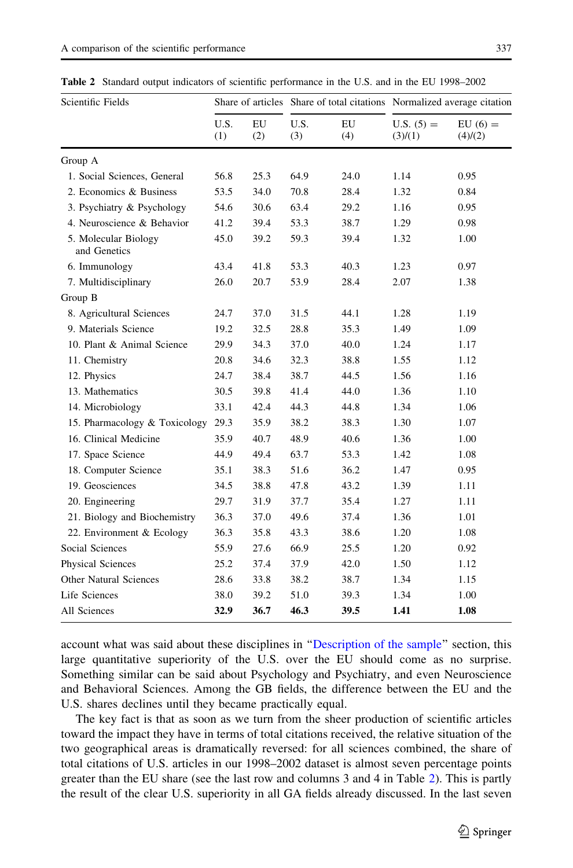| Scientific Fields                    |             |           |             |           | Share of articles Share of total citations Normalized average citation |                      |
|--------------------------------------|-------------|-----------|-------------|-----------|------------------------------------------------------------------------|----------------------|
|                                      | U.S.<br>(1) | EU<br>(2) | U.S.<br>(3) | EU<br>(4) | $U.S. (5) =$<br>(3)/(1)                                                | $EU(6) =$<br>(4)/(2) |
| Group A                              |             |           |             |           |                                                                        |                      |
| 1. Social Sciences, General          | 56.8        | 25.3      | 64.9        | 24.0      | 1.14                                                                   | 0.95                 |
| 2. Economics & Business              | 53.5        | 34.0      | 70.8        | 28.4      | 1.32                                                                   | 0.84                 |
| 3. Psychiatry & Psychology           | 54.6        | 30.6      | 63.4        | 29.2      | 1.16                                                                   | 0.95                 |
| 4. Neuroscience & Behavior           | 41.2        | 39.4      | 53.3        | 38.7      | 1.29                                                                   | 0.98                 |
| 5. Molecular Biology<br>and Genetics | 45.0        | 39.2      | 59.3        | 39.4      | 1.32                                                                   | 1.00                 |
| 6. Immunology                        | 43.4        | 41.8      | 53.3        | 40.3      | 1.23                                                                   | 0.97                 |
| 7. Multidisciplinary                 | 26.0        | 20.7      | 53.9        | 28.4      | 2.07                                                                   | 1.38                 |
| Group B                              |             |           |             |           |                                                                        |                      |
| 8. Agricultural Sciences             | 24.7        | 37.0      | 31.5        | 44.1      | 1.28                                                                   | 1.19                 |
| 9. Materials Science                 | 19.2        | 32.5      | 28.8        | 35.3      | 1.49                                                                   | 1.09                 |
| 10. Plant & Animal Science           | 29.9        | 34.3      | 37.0        | 40.0      | 1.24                                                                   | 1.17                 |
| 11. Chemistry                        | 20.8        | 34.6      | 32.3        | 38.8      | 1.55                                                                   | 1.12                 |
| 12. Physics                          | 24.7        | 38.4      | 38.7        | 44.5      | 1.56                                                                   | 1.16                 |
| 13. Mathematics                      | 30.5        | 39.8      | 41.4        | 44.0      | 1.36                                                                   | 1.10                 |
| 14. Microbiology                     | 33.1        | 42.4      | 44.3        | 44.8      | 1.34                                                                   | 1.06                 |
| 15. Pharmacology & Toxicology        | 29.3        | 35.9      | 38.2        | 38.3      | 1.30                                                                   | 1.07                 |
| 16. Clinical Medicine                | 35.9        | 40.7      | 48.9        | 40.6      | 1.36                                                                   | 1.00                 |
| 17. Space Science                    | 44.9        | 49.4      | 63.7        | 53.3      | 1.42                                                                   | 1.08                 |
| 18. Computer Science                 | 35.1        | 38.3      | 51.6        | 36.2      | 1.47                                                                   | 0.95                 |
| 19. Geosciences                      | 34.5        | 38.8      | 47.8        | 43.2      | 1.39                                                                   | 1.11                 |
| 20. Engineering                      | 29.7        | 31.9      | 37.7        | 35.4      | 1.27                                                                   | 1.11                 |
| 21. Biology and Biochemistry         | 36.3        | 37.0      | 49.6        | 37.4      | 1.36                                                                   | 1.01                 |
| 22. Environment & Ecology            | 36.3        | 35.8      | 43.3        | 38.6      | 1.20                                                                   | 1.08                 |
| Social Sciences                      | 55.9        | 27.6      | 66.9        | 25.5      | 1.20                                                                   | 0.92                 |
| Physical Sciences                    | 25.2        | 37.4      | 37.9        | 42.0      | 1.50                                                                   | 1.12                 |
| <b>Other Natural Sciences</b>        | 28.6        | 33.8      | 38.2        | 38.7      | 1.34                                                                   | 1.15                 |
| Life Sciences                        | 38.0        | 39.2      | 51.0        | 39.3      | 1.34                                                                   | 1.00                 |
| All Sciences                         | 32.9        | 36.7      | 46.3        | 39.5      | 1.41                                                                   | 1.08                 |

<span id="page-8-0"></span>Table 2 Standard output indicators of scientific performance in the U.S. and in the EU 1998–2002

account what was said about these disciplines in '['Description of the sample](#page-4-0)'' section, this large quantitative superiority of the U.S. over the EU should come as no surprise. Something similar can be said about Psychology and Psychiatry, and even Neuroscience and Behavioral Sciences. Among the GB fields, the difference between the EU and the U.S. shares declines until they became practically equal.

The key fact is that as soon as we turn from the sheer production of scientific articles toward the impact they have in terms of total citations received, the relative situation of the two geographical areas is dramatically reversed: for all sciences combined, the share of total citations of U.S. articles in our 1998–2002 dataset is almost seven percentage points greater than the EU share (see the last row and columns 3 and 4 in Table 2). This is partly the result of the clear U.S. superiority in all GA fields already discussed. In the last seven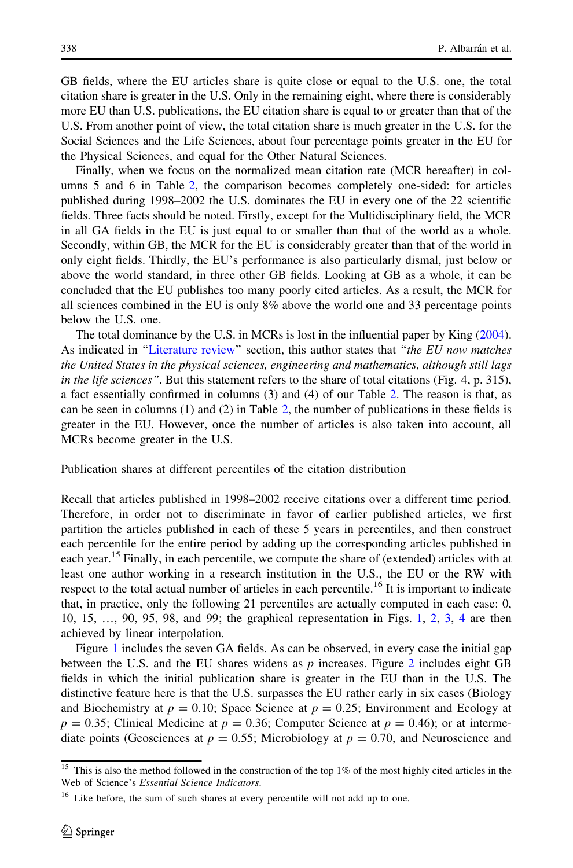GB fields, where the EU articles share is quite close or equal to the U.S. one, the total citation share is greater in the U.S. Only in the remaining eight, where there is considerably more EU than U.S. publications, the EU citation share is equal to or greater than that of the U.S. From another point of view, the total citation share is much greater in the U.S. for the Social Sciences and the Life Sciences, about four percentage points greater in the EU for the Physical Sciences, and equal for the Other Natural Sciences.

Finally, when we focus on the normalized mean citation rate (MCR hereafter) in columns 5 and 6 in Table [2,](#page-8-0) the comparison becomes completely one-sided: for articles published during 1998–2002 the U.S. dominates the EU in every one of the 22 scientific fields. Three facts should be noted. Firstly, except for the Multidisciplinary field, the MCR in all GA fields in the EU is just equal to or smaller than that of the world as a whole. Secondly, within GB, the MCR for the EU is considerably greater than that of the world in only eight fields. Thirdly, the EU's performance is also particularly dismal, just below or above the world standard, in three other GB fields. Looking at GB as a whole, it can be concluded that the EU publishes too many poorly cited articles. As a result, the MCR for all sciences combined in the EU is only 8% above the world one and 33 percentage points below the U.S. one.

The total dominance by the U.S. in MCRs is lost in the influential paper by King [\(2004](#page-15-0)). As indicated in "Literature review" section, this author states that "the EU now matches the United States in the physical sciences, engineering and mathematics, although still lags in the life sciences". But this statement refers to the share of total citations (Fig. 4, p. 315), a fact essentially confirmed in columns (3) and (4) of our Table [2](#page-8-0). The reason is that, as can be seen in columns  $(1)$  and  $(2)$  $(2)$  $(2)$  in Table 2, the number of publications in these fields is greater in the EU. However, once the number of articles is also taken into account, all MCRs become greater in the U.S.

Publication shares at different percentiles of the citation distribution

Recall that articles published in 1998–2002 receive citations over a different time period. Therefore, in order not to discriminate in favor of earlier published articles, we first partition the articles published in each of these 5 years in percentiles, and then construct each percentile for the entire period by adding up the corresponding articles published in each year.<sup>15</sup> Finally, in each percentile, we compute the share of (extended) articles with at least one author working in a research institution in the U.S., the EU or the RW with respect to the total actual number of articles in each percentile.<sup>16</sup> It is important to indicate that, in practice, only the following 21 percentiles are actually computed in each case: 0, 10, 15, …, 90, 95, 98, and 99; the graphical representation in Figs. [1](#page-10-0), [2](#page-11-0), [3,](#page-12-0) [4](#page-12-0) are then achieved by linear interpolation.

Figure [1](#page-10-0) includes the seven GA fields. As can be observed, in every case the initial gap between the U.S. and the EU shares widens as  $p$  increases. Figure [2](#page-11-0) includes eight GB fields in which the initial publication share is greater in the EU than in the U.S. The distinctive feature here is that the U.S. surpasses the EU rather early in six cases (Biology and Biochemistry at  $p = 0.10$ ; Space Science at  $p = 0.25$ ; Environment and Ecology at  $p = 0.35$ ; Clinical Medicine at  $p = 0.36$ ; Computer Science at  $p = 0.46$ ); or at intermediate points (Geosciences at  $p = 0.55$ ; Microbiology at  $p = 0.70$ , and Neuroscience and

 $\frac{15}{15}$  This is also the method followed in the construction of the top 1% of the most highly cited articles in the Web of Science's Essential Science Indicators.

<sup>&</sup>lt;sup>16</sup> Like before, the sum of such shares at every percentile will not add up to one.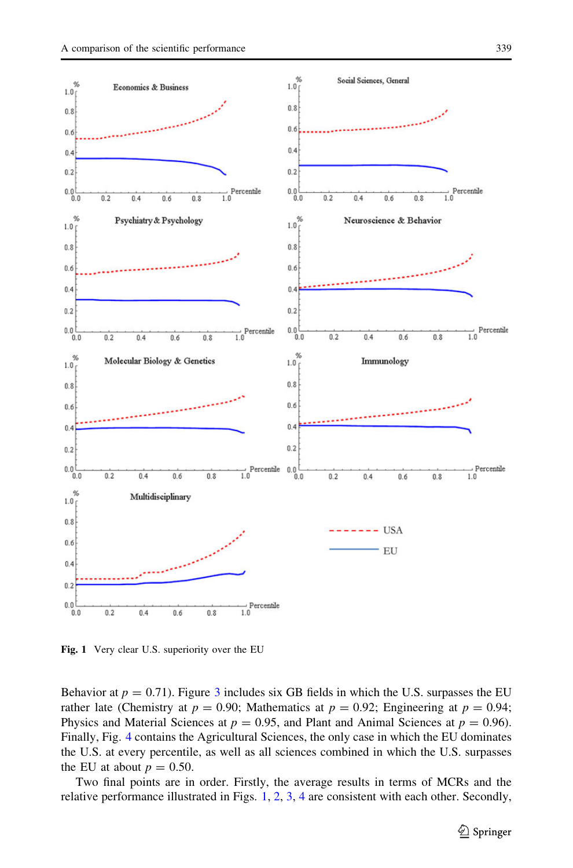<span id="page-10-0"></span>

Fig. 1 Very clear U.S. superiority over the EU

Behavior at  $p = 0.71$ . Figure [3](#page-12-0) includes six GB fields in which the U.S. surpasses the EU rather late (Chemistry at  $p = 0.90$ ; Mathematics at  $p = 0.92$ ; Engineering at  $p = 0.94$ ; Physics and Material Sciences at  $p = 0.95$ , and Plant and Animal Sciences at  $p = 0.96$ ). Finally, Fig. [4](#page-12-0) contains the Agricultural Sciences, the only case in which the EU dominates the U.S. at every percentile, as well as all sciences combined in which the U.S. surpasses the EU at about  $p = 0.50$ .

Two final points are in order. Firstly, the average results in terms of MCRs and the relative performance illustrated in Figs. 1, [2,](#page-11-0) [3,](#page-12-0) [4](#page-12-0) are consistent with each other. Secondly,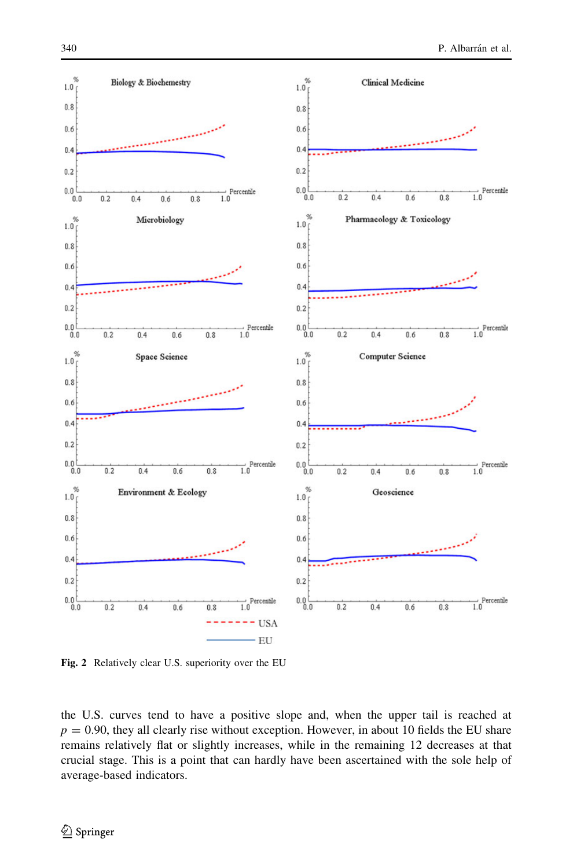<span id="page-11-0"></span>

Fig. 2 Relatively clear U.S. superiority over the EU

the U.S. curves tend to have a positive slope and, when the upper tail is reached at  $p = 0.90$ , they all clearly rise without exception. However, in about 10 fields the EU share remains relatively flat or slightly increases, while in the remaining 12 decreases at that crucial stage. This is a point that can hardly have been ascertained with the sole help of average-based indicators.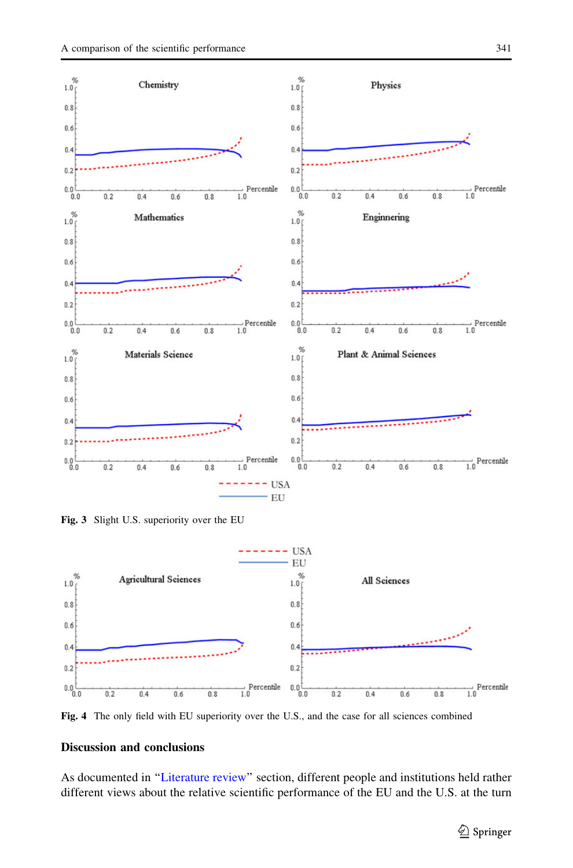<span id="page-12-0"></span>

Fig. 3 Slight U.S. superiority over the EU



Fig. 4 The only field with EU superiority over the U.S., and the case for all sciences combined

# Discussion and conclusions

As documented in '['Literature review](#page-1-0)'' section, different people and institutions held rather different views about the relative scientific performance of the EU and the U.S. at the turn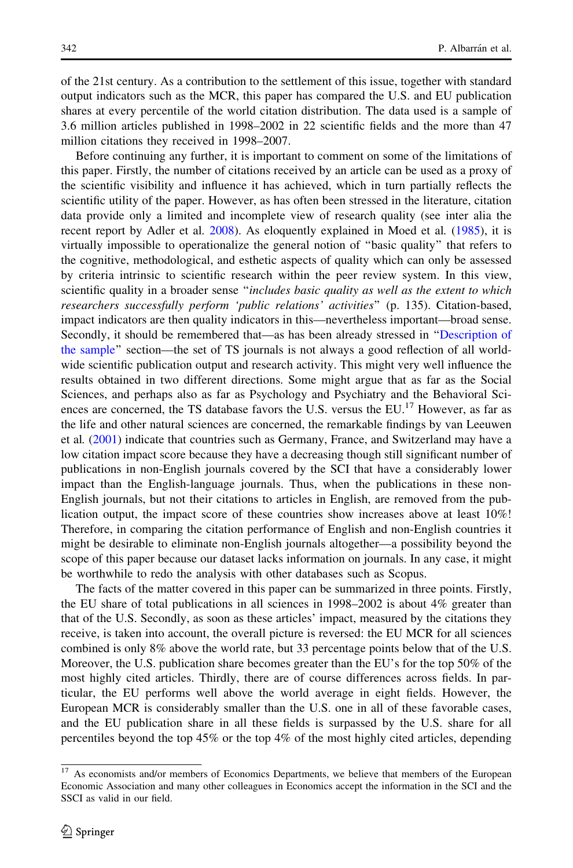of the 21st century. As a contribution to the settlement of this issue, together with standard output indicators such as the MCR, this paper has compared the U.S. and EU publication shares at every percentile of the world citation distribution. The data used is a sample of 3.6 million articles published in 1998–2002 in 22 scientific fields and the more than 47 million citations they received in 1998–2007.

Before continuing any further, it is important to comment on some of the limitations of this paper. Firstly, the number of citations received by an article can be used as a proxy of the scientific visibility and influence it has achieved, which in turn partially reflects the scientific utility of the paper. However, as has often been stressed in the literature, citation data provide only a limited and incomplete view of research quality (see inter alia the recent report by Adler et al. [2008\)](#page-14-0). As eloquently explained in Moed et al. ([1985](#page-15-0)), it is virtually impossible to operationalize the general notion of ''basic quality'' that refers to the cognitive, methodological, and esthetic aspects of quality which can only be assessed by criteria intrinsic to scientific research within the peer review system. In this view, scientific quality in a broader sense "includes basic quality as well as the extent to which researchers successfully perform 'public relations' activities'' (p. 135). Citation-based, impact indicators are then quality indicators in this—nevertheless important—broad sense. Secondly, it should be remembered that—as has been already stressed in '['Description of](#page-4-0) [the sample](#page-4-0)'' section—the set of TS journals is not always a good reflection of all worldwide scientific publication output and research activity. This might very well influence the results obtained in two different directions. Some might argue that as far as the Social Sciences, and perhaps also as far as Psychology and Psychiatry and the Behavioral Sciences are concerned, the TS database favors the U.S. versus the EU.<sup>17</sup> However, as far as the life and other natural sciences are concerned, the remarkable findings by van Leeuwen et al. [\(2001](#page-15-0)) indicate that countries such as Germany, France, and Switzerland may have a low citation impact score because they have a decreasing though still significant number of publications in non-English journals covered by the SCI that have a considerably lower impact than the English-language journals. Thus, when the publications in these non-English journals, but not their citations to articles in English, are removed from the publication output, the impact score of these countries show increases above at least  $10\%$ ! Therefore, in comparing the citation performance of English and non-English countries it might be desirable to eliminate non-English journals altogether—a possibility beyond the scope of this paper because our dataset lacks information on journals. In any case, it might be worthwhile to redo the analysis with other databases such as Scopus.

The facts of the matter covered in this paper can be summarized in three points. Firstly, the EU share of total publications in all sciences in 1998–2002 is about 4% greater than that of the U.S. Secondly, as soon as these articles' impact, measured by the citations they receive, is taken into account, the overall picture is reversed: the EU MCR for all sciences combined is only 8% above the world rate, but 33 percentage points below that of the U.S. Moreover, the U.S. publication share becomes greater than the EU's for the top 50% of the most highly cited articles. Thirdly, there are of course differences across fields. In particular, the EU performs well above the world average in eight fields. However, the European MCR is considerably smaller than the U.S. one in all of these favorable cases, and the EU publication share in all these fields is surpassed by the U.S. share for all percentiles beyond the top 45% or the top 4% of the most highly cited articles, depending

<sup>&</sup>lt;sup>17</sup> As economists and/or members of Economics Departments, we believe that members of the European Economic Association and many other colleagues in Economics accept the information in the SCI and the SSCI as valid in our field.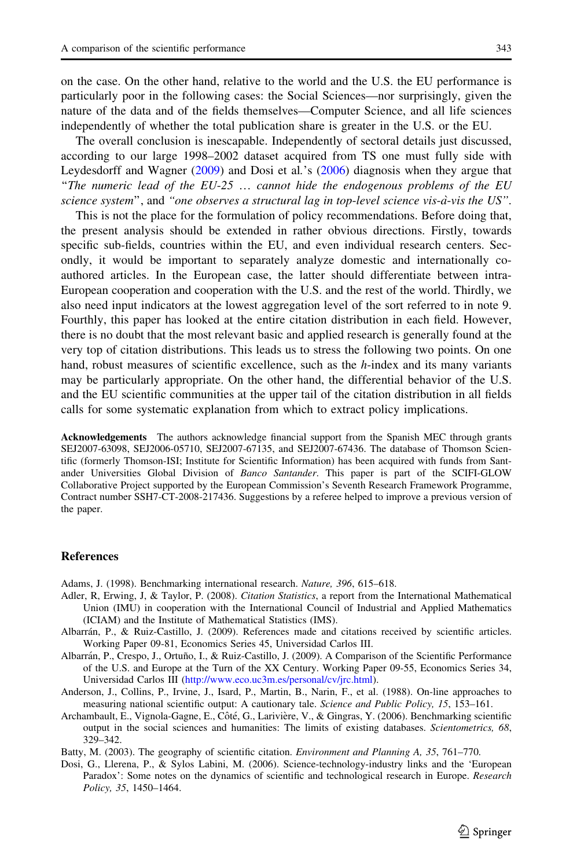<span id="page-14-0"></span>on the case. On the other hand, relative to the world and the U.S. the EU performance is particularly poor in the following cases: the Social Sciences—nor surprisingly, given the nature of the data and of the fields themselves—Computer Science, and all life sciences independently of whether the total publication share is greater in the U.S. or the EU.

The overall conclusion is inescapable. Independently of sectoral details just discussed, according to our large 1998–2002 dataset acquired from TS one must fully side with Leydesdorff and Wagner ([2009\)](#page-15-0) and Dosi et al.'s (2006) diagnosis when they argue that "The numeric lead of the  $EU-25$ "... cannot hide the endogenous problems of the EU science system", and "one observes a structural lag in top-level science vis-à-vis the US".

This is not the place for the formulation of policy recommendations. Before doing that, the present analysis should be extended in rather obvious directions. Firstly, towards specific sub-fields, countries within the EU, and even individual research centers. Secondly, it would be important to separately analyze domestic and internationally coauthored articles. In the European case, the latter should differentiate between intra-European cooperation and cooperation with the U.S. and the rest of the world. Thirdly, we also need input indicators at the lowest aggregation level of the sort referred to in note 9. Fourthly, this paper has looked at the entire citation distribution in each field. However, there is no doubt that the most relevant basic and applied research is generally found at the very top of citation distributions. This leads us to stress the following two points. On one hand, robust measures of scientific excellence, such as the  $h$ -index and its many variants may be particularly appropriate. On the other hand, the differential behavior of the U.S. and the EU scientific communities at the upper tail of the citation distribution in all fields calls for some systematic explanation from which to extract policy implications.

Acknowledgements The authors acknowledge financial support from the Spanish MEC through grants SEJ2007-63098, SEJ2006-05710, SEJ2007-67135, and SEJ2007-67436. The database of Thomson Scientific (formerly Thomson-ISI; Institute for Scientific Information) has been acquired with funds from Santander Universities Global Division of Banco Santander. This paper is part of the SCIFI-GLOW Collaborative Project supported by the European Commission's Seventh Research Framework Programme, Contract number SSH7-CT-2008-217436. Suggestions by a referee helped to improve a previous version of the paper.

## References

Adams, J. (1998). Benchmarking international research. Nature, 396, 615–618.

- Adler, R, Erwing, J, & Taylor, P. (2008). Citation Statistics, a report from the International Mathematical Union (IMU) in cooperation with the International Council of Industrial and Applied Mathematics (ICIAM) and the Institute of Mathematical Statistics (IMS).
- Albarrán, P., & Ruiz-Castillo, J. (2009). References made and citations received by scientific articles. Working Paper 09-81, Economics Series 45, Universidad Carlos III.
- Albarrán, P., Crespo, J., Ortuño, I., & Ruiz-Castillo, J. (2009). A Comparison of the Scientific Performance of the U.S. and Europe at the Turn of the XX Century. Working Paper 09-55, Economics Series 34, Universidad Carlos III [\(http://www.eco.uc3m.es/personal/cv/jrc.html](http://www.eco.uc3m.es/personal/cv/jrc.html)).
- Anderson, J., Collins, P., Irvine, J., Isard, P., Martin, B., Narin, F., et al. (1988). On-line approaches to measuring national scientific output: A cautionary tale. Science and Public Policy, 15, 153–161.
- Archambault, E., Vignola-Gagne, E., Côté, G., Larivière, V., & Gingras, Y. (2006). Benchmarking scientific output in the social sciences and humanities: The limits of existing databases. Scientometrics, 68, 329–342.
- Batty, M. (2003). The geography of scientific citation. Environment and Planning A, 35, 761–770.
- Dosi, G., Llerena, P., & Sylos Labini, M. (2006). Science-technology-industry links and the 'European Paradox': Some notes on the dynamics of scientific and technological research in Europe. Research Policy, 35, 1450–1464.